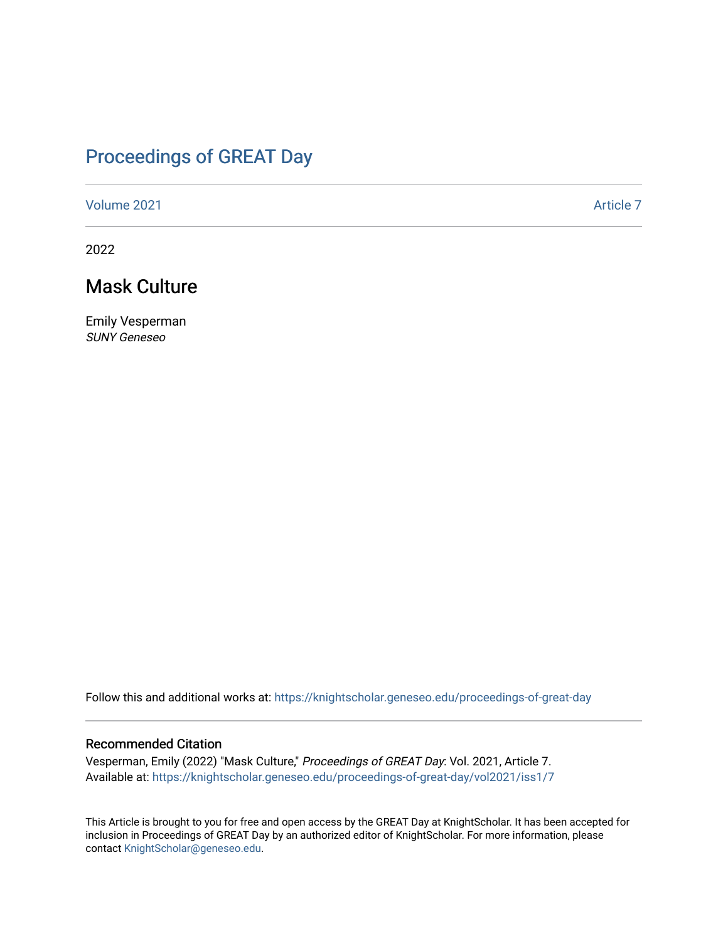## [Proceedings of GREAT Day](https://knightscholar.geneseo.edu/proceedings-of-great-day)

[Volume 2021](https://knightscholar.geneseo.edu/proceedings-of-great-day/vol2021) **Article 7** Article 7

2022

## Mask Culture

Emily Vesperman SUNY Geneseo

Follow this and additional works at: [https://knightscholar.geneseo.edu/proceedings-of-great-day](https://knightscholar.geneseo.edu/proceedings-of-great-day?utm_source=knightscholar.geneseo.edu%2Fproceedings-of-great-day%2Fvol2021%2Fiss1%2F7&utm_medium=PDF&utm_campaign=PDFCoverPages) 

### Recommended Citation

Vesperman, Emily (2022) "Mask Culture," Proceedings of GREAT Day: Vol. 2021, Article 7. Available at: [https://knightscholar.geneseo.edu/proceedings-of-great-day/vol2021/iss1/7](https://knightscholar.geneseo.edu/proceedings-of-great-day/vol2021/iss1/7?utm_source=knightscholar.geneseo.edu%2Fproceedings-of-great-day%2Fvol2021%2Fiss1%2F7&utm_medium=PDF&utm_campaign=PDFCoverPages) 

This Article is brought to you for free and open access by the GREAT Day at KnightScholar. It has been accepted for inclusion in Proceedings of GREAT Day by an authorized editor of KnightScholar. For more information, please contact [KnightScholar@geneseo.edu.](mailto:KnightScholar@geneseo.edu)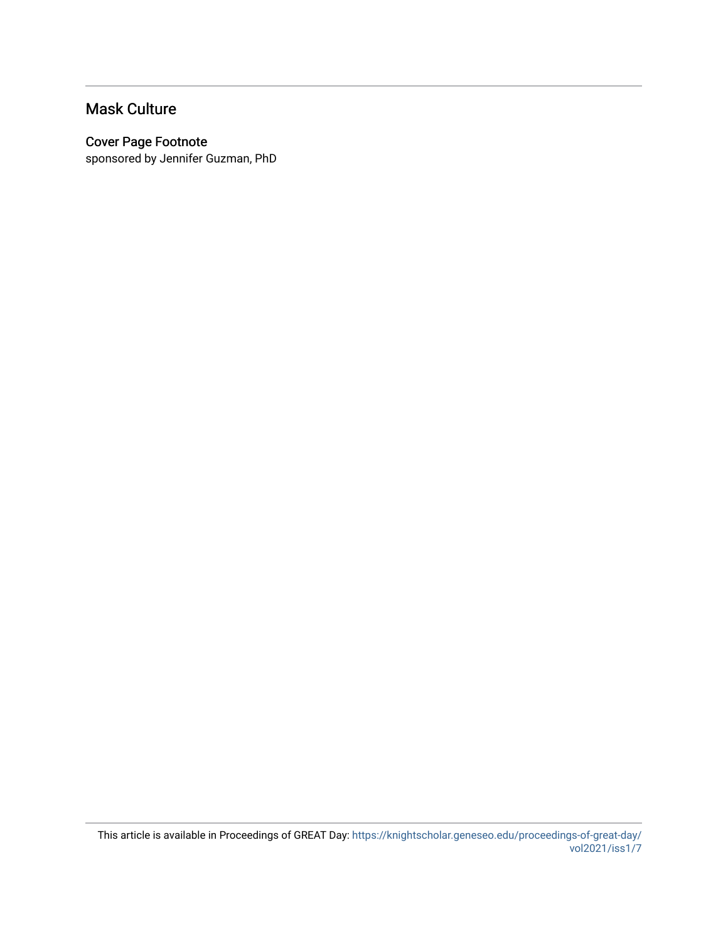## Mask Culture

### Cover Page Footnote

sponsored by Jennifer Guzman, PhD

This article is available in Proceedings of GREAT Day: [https://knightscholar.geneseo.edu/proceedings-of-great-day/](https://knightscholar.geneseo.edu/proceedings-of-great-day/vol2021/iss1/7) [vol2021/iss1/7](https://knightscholar.geneseo.edu/proceedings-of-great-day/vol2021/iss1/7)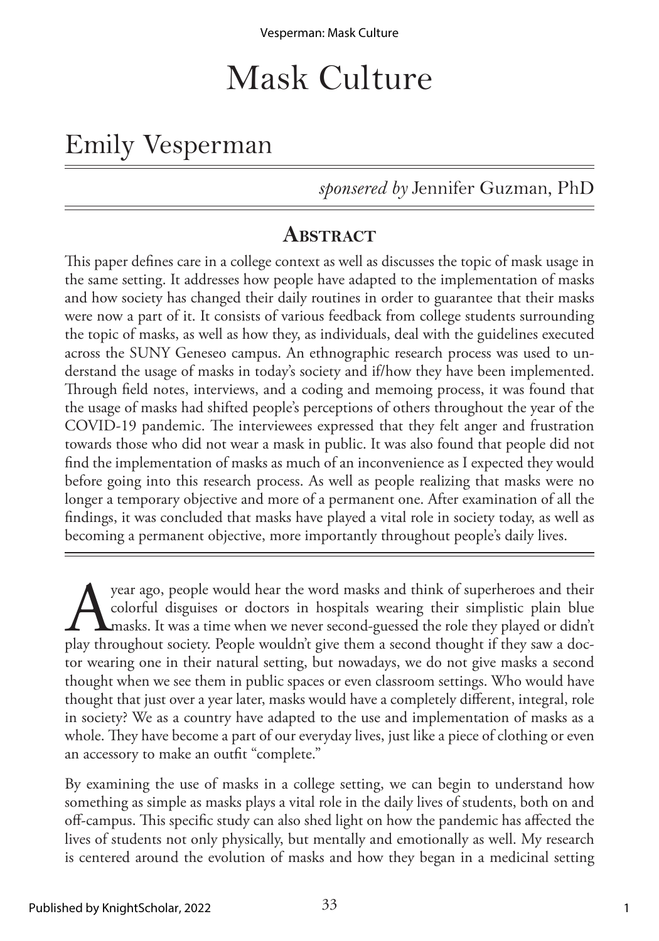# Mask Culture

## Emily Vesperman

*sponsered by* Jennifer Guzman, PhD

## **ABSTRACT**

This paper defines care in a college context as well as discusses the topic of mask usage in the same setting. It addresses how people have adapted to the implementation of masks and how society has changed their daily routines in order to guarantee that their masks were now a part of it. It consists of various feedback from college students surrounding the topic of masks, as well as how they, as individuals, deal with the guidelines executed across the SUNY Geneseo campus. An ethnographic research process was used to understand the usage of masks in today's society and if/how they have been implemented. Through field notes, interviews, and a coding and memoing process, it was found that the usage of masks had shifted people's perceptions of others throughout the year of the COVID-19 pandemic. The interviewees expressed that they felt anger and frustration towards those who did not wear a mask in public. It was also found that people did not find the implementation of masks as much of an inconvenience as I expected they would before going into this research process. As well as people realizing that masks were no longer a temporary objective and more of a permanent one. After examination of all the findings, it was concluded that masks have played a vital role in society today, as well as becoming a permanent objective, more importantly throughout people's daily lives.

year ago, people would hear the word masks and think of superheroes and their<br>colorful disguises or doctors in hospitals wearing their simplistic plain blue<br>play throughout society. People wouldn't give them a second thoug colorful disguises or doctors in hospitals wearing their simplistic plain blue masks. It was a time when we never second-guessed the role they played or didn't play throughout society. People wouldn't give them a second thought if they saw a doctor wearing one in their natural setting, but nowadays, we do not give masks a second thought when we see them in public spaces or even classroom settings. Who would have thought that just over a year later, masks would have a completely different, integral, role in society? We as a country have adapted to the use and implementation of masks as a whole. They have become a part of our everyday lives, just like a piece of clothing or even an accessory to make an outfit "complete."

By examining the use of masks in a college setting, we can begin to understand how something as simple as masks plays a vital role in the daily lives of students, both on and off-campus. This specific study can also shed light on how the pandemic has affected the lives of students not only physically, but mentally and emotionally as well. My research is centered around the evolution of masks and how they began in a medicinal setting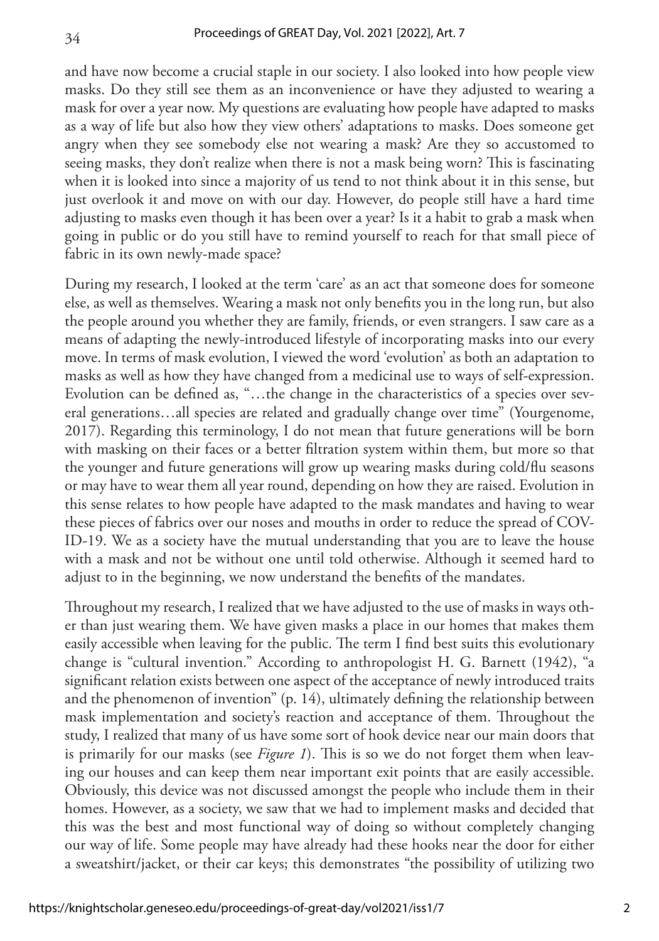and have now become a crucial staple in our society. I also looked into how people view masks. Do they still see them as an inconvenience or have they adjusted to wearing a mask for over a year now. My questions are evaluating how people have adapted to masks as a way of life but also how they view others' adaptations to masks. Does someone get angry when they see somebody else not wearing a mask? Are they so accustomed to seeing masks, they don't realize when there is not a mask being worn? This is fascinating when it is looked into since a majority of us tend to not think about it in this sense, but just overlook it and move on with our day. However, do people still have a hard time adjusting to masks even though it has been over a year? Is it a habit to grab a mask when going in public or do you still have to remind yourself to reach for that small piece of fabric in its own newly-made space?

During my research, I looked at the term 'care' as an act that someone does for someone else, as well as themselves. Wearing a mask not only benefits you in the long run, but also the people around you whether they are family, friends, or even strangers. I saw care as a means of adapting the newly-introduced lifestyle of incorporating masks into our every move. In terms of mask evolution, I viewed the word 'evolution' as both an adaptation to masks as well as how they have changed from a medicinal use to ways of self-expression. Evolution can be defined as, "…the change in the characteristics of a species over several generations…all species are related and gradually change over time" (Yourgenome, 2017). Regarding this terminology, I do not mean that future generations will be born with masking on their faces or a better filtration system within them, but more so that the younger and future generations will grow up wearing masks during cold/flu seasons or may have to wear them all year round, depending on how they are raised. Evolution in this sense relates to how people have adapted to the mask mandates and having to wear these pieces of fabrics over our noses and mouths in order to reduce the spread of COV-ID-19. We as a society have the mutual understanding that you are to leave the house with a mask and not be without one until told otherwise. Although it seemed hard to adjust to in the beginning, we now understand the benefits of the mandates.

Throughout my research, I realized that we have adjusted to the use of masks in ways other than just wearing them. We have given masks a place in our homes that makes them easily accessible when leaving for the public. The term I find best suits this evolutionary change is "cultural invention." According to anthropologist H. G. Barnett (1942), "a significant relation exists between one aspect of the acceptance of newly introduced traits and the phenomenon of invention" (p. 14), ultimately defining the relationship between mask implementation and society's reaction and acceptance of them. Throughout the study, I realized that many of us have some sort of hook device near our main doors that is primarily for our masks (see *Figure 1*). This is so we do not forget them when leaving our houses and can keep them near important exit points that are easily accessible. Obviously, this device was not discussed amongst the people who include them in their homes. However, as a society, we saw that we had to implement masks and decided that this was the best and most functional way of doing so without completely changing our way of life. Some people may have already had these hooks near the door for either a sweatshirt/jacket, or their car keys; this demonstrates "the possibility of utilizing two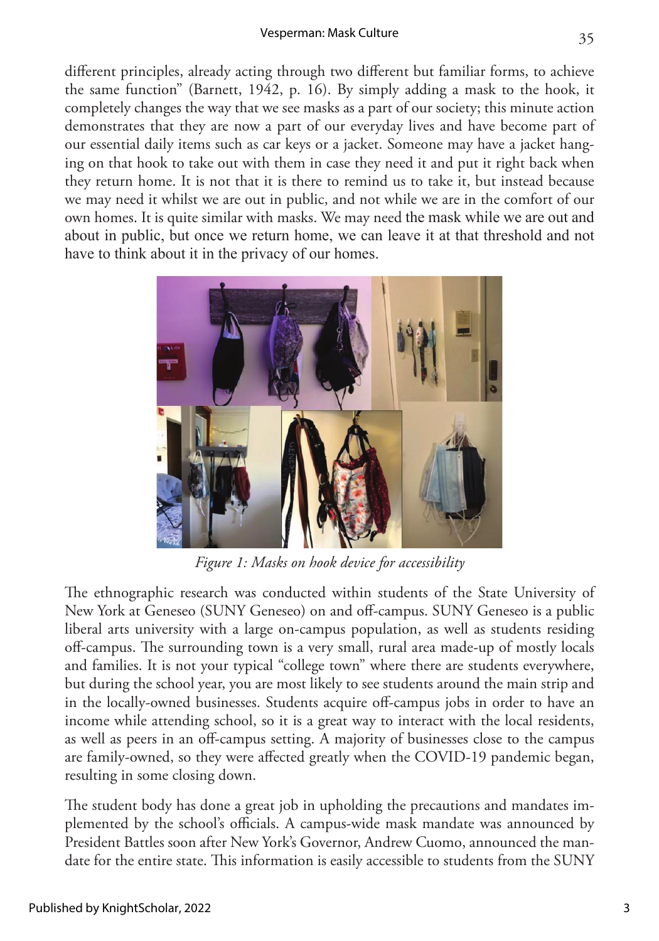### Vesperman: Mask Culture

different principles, already acting through two different but familiar forms, to achieve the same function" (Barnett, 1942, p. 16). By simply adding a mask to the hook, it completely changes the way that we see masks as a part of our society; this minute action demonstrates that they are now a part of our everyday lives and have become part of our essential daily items such as car keys or a jacket. Someone may have a jacket hanging on that hook to take out with them in case they need it and put it right back when they return home. It is not that it is there to remind us to take it, but instead because we may need it whilst we are out in public, and not while we are in the comfort of our own homes. It is quite similar with masks. We may need the mask while we are out and about in public, but once we return home, we can leave it at that threshold and not have to think about it in the privacy of our homes.



*Figure 1: Masks on hook device for accessibility*

The ethnographic research was conducted within students of the State University of New York at Geneseo (SUNY Geneseo) on and off-campus. SUNY Geneseo is a public liberal arts university with a large on-campus population, as well as students residing off-campus. The surrounding town is a very small, rural area made-up of mostly locals and families. It is not your typical "college town" where there are students everywhere, but during the school year, you are most likely to see students around the main strip and in the locally-owned businesses. Students acquire off-campus jobs in order to have an income while attending school, so it is a great way to interact with the local residents, as well as peers in an off-campus setting. A majority of businesses close to the campus are family-owned, so they were affected greatly when the COVID-19 pandemic began, resulting in some closing down.

The student body has done a great job in upholding the precautions and mandates implemented by the school's officials. A campus-wide mask mandate was announced by President Battles soon after New York's Governor, Andrew Cuomo, announced the mandate for the entire state. This information is easily accessible to students from the SUNY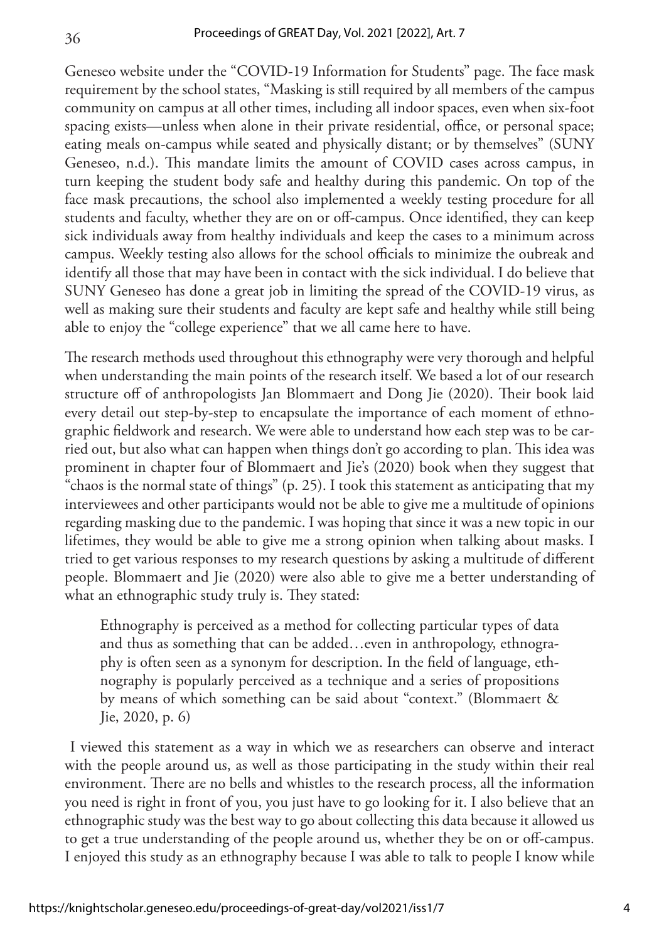Geneseo website under the "COVID-19 Information for Students" page. The face mask requirement by the school states, "Masking is still required by all members of the campus community on campus at all other times, including all indoor spaces, even when six-foot spacing exists—unless when alone in their private residential, office, or personal space; eating meals on-campus while seated and physically distant; or by themselves" (SUNY Geneseo, n.d.). This mandate limits the amount of COVID cases across campus, in turn keeping the student body safe and healthy during this pandemic. On top of the face mask precautions, the school also implemented a weekly testing procedure for all students and faculty, whether they are on or off-campus. Once identified, they can keep sick individuals away from healthy individuals and keep the cases to a minimum across campus. Weekly testing also allows for the school officials to minimize the oubreak and identify all those that may have been in contact with the sick individual. I do believe that SUNY Geneseo has done a great job in limiting the spread of the COVID-19 virus, as well as making sure their students and faculty are kept safe and healthy while still being able to enjoy the "college experience" that we all came here to have.

The research methods used throughout this ethnography were very thorough and helpful when understanding the main points of the research itself. We based a lot of our research structure off of anthropologists Jan Blommaert and Dong Jie (2020). Their book laid every detail out step-by-step to encapsulate the importance of each moment of ethnographic fieldwork and research. We were able to understand how each step was to be carried out, but also what can happen when things don't go according to plan. This idea was prominent in chapter four of Blommaert and Jie's (2020) book when they suggest that "chaos is the normal state of things" (p. 25). I took this statement as anticipating that my interviewees and other participants would not be able to give me a multitude of opinions regarding masking due to the pandemic. I was hoping that since it was a new topic in our lifetimes, they would be able to give me a strong opinion when talking about masks. I tried to get various responses to my research questions by asking a multitude of different people. Blommaert and Jie (2020) were also able to give me a better understanding of what an ethnographic study truly is. They stated:

Ethnography is perceived as a method for collecting particular types of data and thus as something that can be added…even in anthropology, ethnography is often seen as a synonym for description. In the field of language, ethnography is popularly perceived as a technique and a series of propositions by means of which something can be said about "context." (Blommaert & Jie, 2020, p. 6)

 I viewed this statement as a way in which we as researchers can observe and interact with the people around us, as well as those participating in the study within their real environment. There are no bells and whistles to the research process, all the information you need is right in front of you, you just have to go looking for it. I also believe that an ethnographic study was the best way to go about collecting this data because it allowed us to get a true understanding of the people around us, whether they be on or off-campus. I enjoyed this study as an ethnography because I was able to talk to people I know while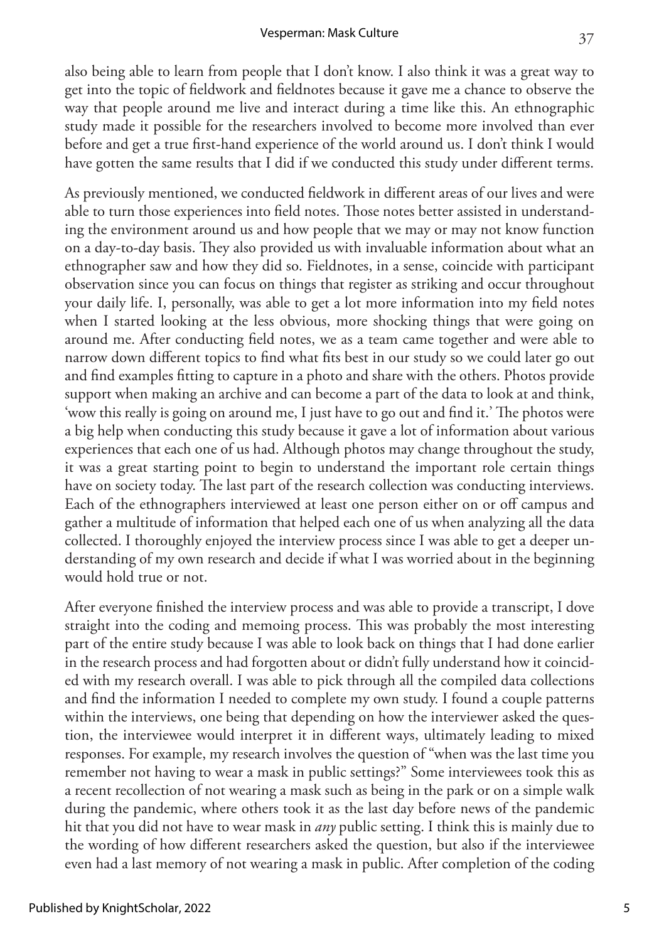also being able to learn from people that I don't know. I also think it was a great way to get into the topic of fieldwork and fieldnotes because it gave me a chance to observe the way that people around me live and interact during a time like this. An ethnographic study made it possible for the researchers involved to become more involved than ever before and get a true first-hand experience of the world around us. I don't think I would have gotten the same results that I did if we conducted this study under different terms.

As previously mentioned, we conducted fieldwork in different areas of our lives and were able to turn those experiences into field notes. Those notes better assisted in understanding the environment around us and how people that we may or may not know function on a day-to-day basis. They also provided us with invaluable information about what an ethnographer saw and how they did so. Fieldnotes, in a sense, coincide with participant observation since you can focus on things that register as striking and occur throughout your daily life. I, personally, was able to get a lot more information into my field notes when I started looking at the less obvious, more shocking things that were going on around me. After conducting field notes, we as a team came together and were able to narrow down different topics to find what fits best in our study so we could later go out and find examples fitting to capture in a photo and share with the others. Photos provide support when making an archive and can become a part of the data to look at and think, 'wow this really is going on around me, I just have to go out and find it.' The photos were a big help when conducting this study because it gave a lot of information about various experiences that each one of us had. Although photos may change throughout the study, it was a great starting point to begin to understand the important role certain things have on society today. The last part of the research collection was conducting interviews. Each of the ethnographers interviewed at least one person either on or off campus and gather a multitude of information that helped each one of us when analyzing all the data collected. I thoroughly enjoyed the interview process since I was able to get a deeper understanding of my own research and decide if what I was worried about in the beginning would hold true or not.

After everyone finished the interview process and was able to provide a transcript, I dove straight into the coding and memoing process. This was probably the most interesting part of the entire study because I was able to look back on things that I had done earlier in the research process and had forgotten about or didn't fully understand how it coincided with my research overall. I was able to pick through all the compiled data collections and find the information I needed to complete my own study. I found a couple patterns within the interviews, one being that depending on how the interviewer asked the question, the interviewee would interpret it in different ways, ultimately leading to mixed responses. For example, my research involves the question of "when was the last time you remember not having to wear a mask in public settings?" Some interviewees took this as a recent recollection of not wearing a mask such as being in the park or on a simple walk during the pandemic, where others took it as the last day before news of the pandemic hit that you did not have to wear mask in *any* public setting. I think this is mainly due to the wording of how different researchers asked the question, but also if the interviewee even had a last memory of not wearing a mask in public. After completion of the coding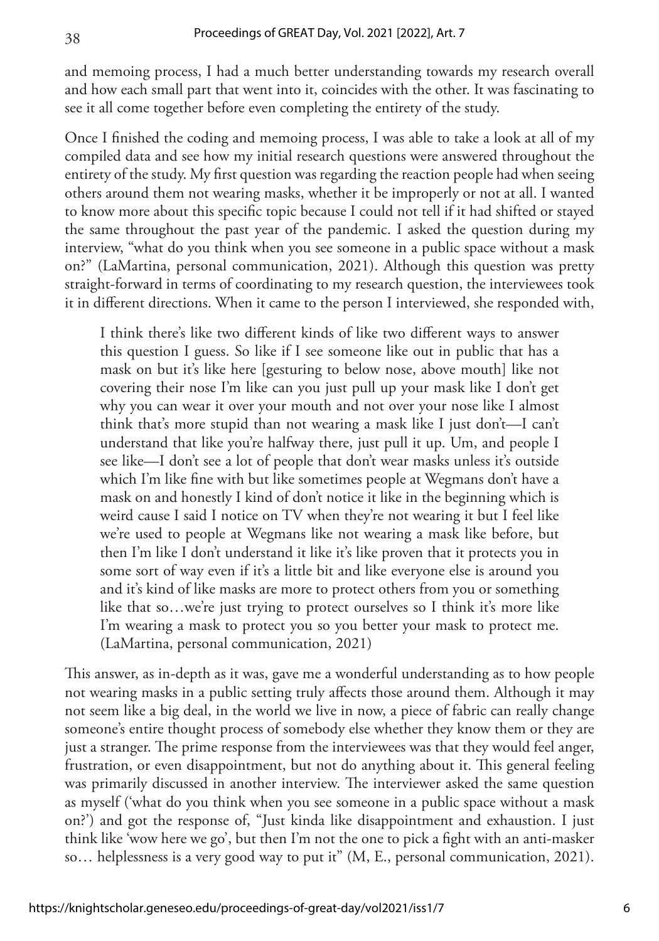and memoing process, I had a much better understanding towards my research overall and how each small part that went into it, coincides with the other. It was fascinating to see it all come together before even completing the entirety of the study.

Once I finished the coding and memoing process, I was able to take a look at all of my compiled data and see how my initial research questions were answered throughout the entirety of the study. My first question was regarding the reaction people had when seeing others around them not wearing masks, whether it be improperly or not at all. I wanted to know more about this specific topic because I could not tell if it had shifted or stayed the same throughout the past year of the pandemic. I asked the question during my interview, "what do you think when you see someone in a public space without a mask on?" (LaMartina, personal communication, 2021). Although this question was pretty straight-forward in terms of coordinating to my research question, the interviewees took it in different directions. When it came to the person I interviewed, she responded with,

I think there's like two different kinds of like two different ways to answer this question I guess. So like if I see someone like out in public that has a mask on but it's like here [gesturing to below nose, above mouth] like not covering their nose I'm like can you just pull up your mask like I don't get why you can wear it over your mouth and not over your nose like I almost think that's more stupid than not wearing a mask like I just don't—I can't understand that like you're halfway there, just pull it up. Um, and people I see like—I don't see a lot of people that don't wear masks unless it's outside which I'm like fine with but like sometimes people at Wegmans don't have a mask on and honestly I kind of don't notice it like in the beginning which is weird cause I said I notice on TV when they're not wearing it but I feel like we're used to people at Wegmans like not wearing a mask like before, but then I'm like I don't understand it like it's like proven that it protects you in some sort of way even if it's a little bit and like everyone else is around you and it's kind of like masks are more to protect others from you or something like that so...we're just trying to protect ourselves so I think it's more like I'm wearing a mask to protect you so you better your mask to protect me. (LaMartina, personal communication, 2021)

This answer, as in-depth as it was, gave me a wonderful understanding as to how people not wearing masks in a public setting truly affects those around them. Although it may not seem like a big deal, in the world we live in now, a piece of fabric can really change someone's entire thought process of somebody else whether they know them or they are just a stranger. The prime response from the interviewees was that they would feel anger, frustration, or even disappointment, but not do anything about it. This general feeling was primarily discussed in another interview. The interviewer asked the same question as myself ('what do you think when you see someone in a public space without a mask on?') and got the response of, "Just kinda like disappointment and exhaustion. I just think like 'wow here we go', but then I'm not the one to pick a fight with an anti-masker so… helplessness is a very good way to put it" (M, E., personal communication, 2021).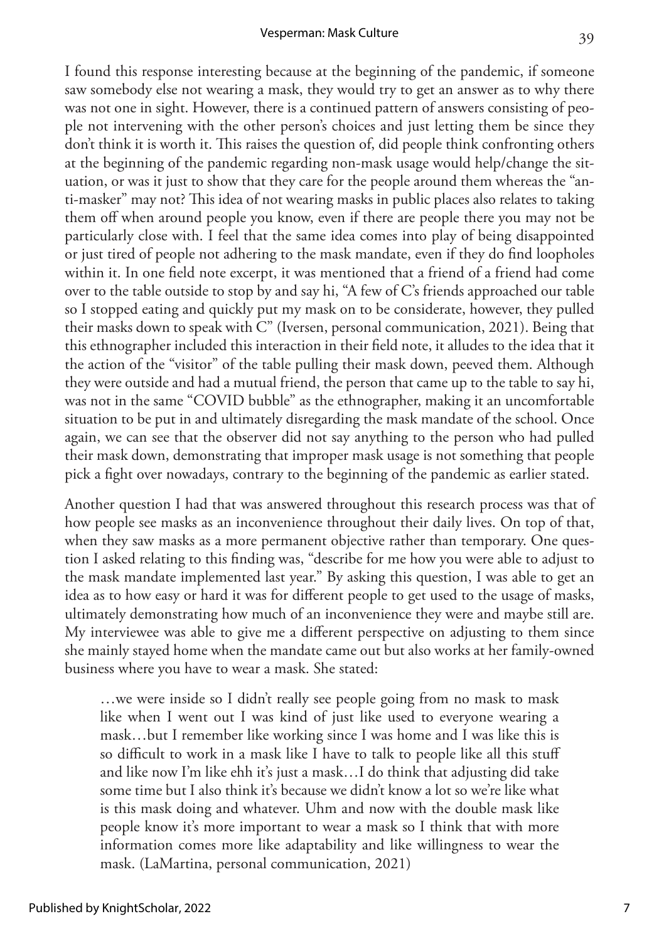#### Vesperman: Mask Culture

I found this response interesting because at the beginning of the pandemic, if someone saw somebody else not wearing a mask, they would try to get an answer as to why there was not one in sight. However, there is a continued pattern of answers consisting of people not intervening with the other person's choices and just letting them be since they don't think it is worth it. This raises the question of, did people think confronting others at the beginning of the pandemic regarding non-mask usage would help/change the situation, or was it just to show that they care for the people around them whereas the "anti-masker" may not? This idea of not wearing masks in public places also relates to taking them off when around people you know, even if there are people there you may not be particularly close with. I feel that the same idea comes into play of being disappointed or just tired of people not adhering to the mask mandate, even if they do find loopholes within it. In one field note excerpt, it was mentioned that a friend of a friend had come over to the table outside to stop by and say hi, "A few of C's friends approached our table so I stopped eating and quickly put my mask on to be considerate, however, they pulled their masks down to speak with C" (Iversen, personal communication, 2021). Being that this ethnographer included this interaction in their field note, it alludes to the idea that it the action of the "visitor" of the table pulling their mask down, peeved them. Although they were outside and had a mutual friend, the person that came up to the table to say hi, was not in the same "COVID bubble" as the ethnographer, making it an uncomfortable situation to be put in and ultimately disregarding the mask mandate of the school. Once again, we can see that the observer did not say anything to the person who had pulled their mask down, demonstrating that improper mask usage is not something that people pick a fight over nowadays, contrary to the beginning of the pandemic as earlier stated.

Another question I had that was answered throughout this research process was that of how people see masks as an inconvenience throughout their daily lives. On top of that, when they saw masks as a more permanent objective rather than temporary. One question I asked relating to this finding was, "describe for me how you were able to adjust to the mask mandate implemented last year." By asking this question, I was able to get an idea as to how easy or hard it was for different people to get used to the usage of masks, ultimately demonstrating how much of an inconvenience they were and maybe still are. My interviewee was able to give me a different perspective on adjusting to them since she mainly stayed home when the mandate came out but also works at her family-owned business where you have to wear a mask. She stated:

…we were inside so I didn't really see people going from no mask to mask like when I went out I was kind of just like used to everyone wearing a mask…but I remember like working since I was home and I was like this is so difficult to work in a mask like I have to talk to people like all this stuff and like now I'm like ehh it's just a mask…I do think that adjusting did take some time but I also think it's because we didn't know a lot so we're like what is this mask doing and whatever. Uhm and now with the double mask like people know it's more important to wear a mask so I think that with more information comes more like adaptability and like willingness to wear the mask. (LaMartina, personal communication, 2021)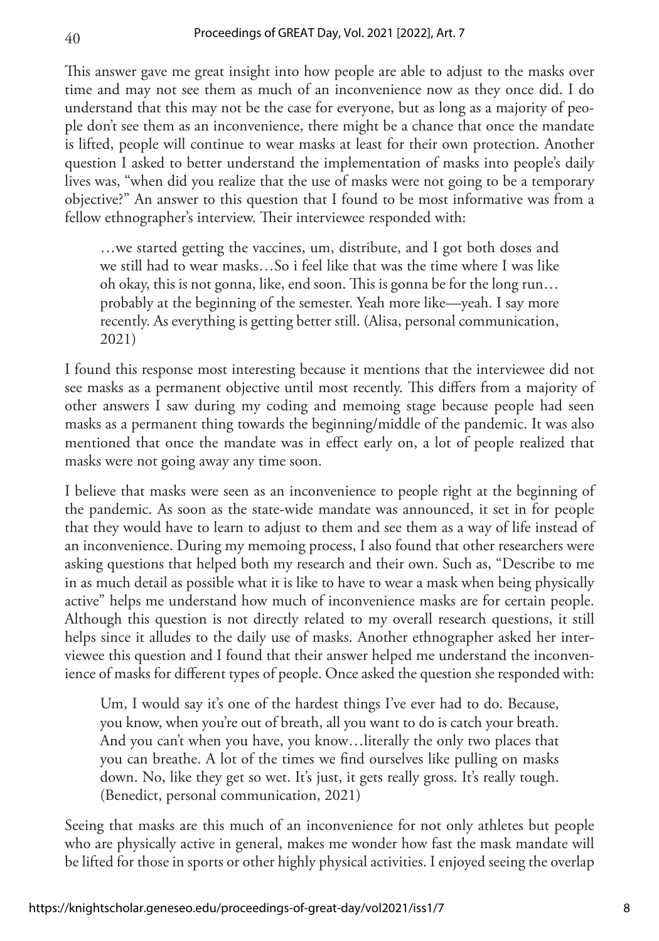This answer gave me great insight into how people are able to adjust to the masks over time and may not see them as much of an inconvenience now as they once did. I do understand that this may not be the case for everyone, but as long as a majority of people don't see them as an inconvenience, there might be a chance that once the mandate is lifted, people will continue to wear masks at least for their own protection. Another question I asked to better understand the implementation of masks into people's daily lives was, "when did you realize that the use of masks were not going to be a temporary objective?" An answer to this question that I found to be most informative was from a fellow ethnographer's interview. Their interviewee responded with:

…we started getting the vaccines, um, distribute, and I got both doses and we still had to wear masks…So i feel like that was the time where I was like oh okay, this is not gonna, like, end soon. This is gonna be for the long run… probably at the beginning of the semester. Yeah more like—yeah. I say more recently. As everything is getting better still. (Alisa, personal communication, 2021)

I found this response most interesting because it mentions that the interviewee did not see masks as a permanent objective until most recently. This differs from a majority of other answers I saw during my coding and memoing stage because people had seen masks as a permanent thing towards the beginning/middle of the pandemic. It was also mentioned that once the mandate was in effect early on, a lot of people realized that masks were not going away any time soon.

I believe that masks were seen as an inconvenience to people right at the beginning of the pandemic. As soon as the state-wide mandate was announced, it set in for people that they would have to learn to adjust to them and see them as a way of life instead of an inconvenience. During my memoing process, I also found that other researchers were asking questions that helped both my research and their own. Such as, "Describe to me in as much detail as possible what it is like to have to wear a mask when being physically active" helps me understand how much of inconvenience masks are for certain people. Although this question is not directly related to my overall research questions, it still helps since it alludes to the daily use of masks. Another ethnographer asked her interviewee this question and I found that their answer helped me understand the inconvenience of masks for different types of people. Once asked the question she responded with:

Um, I would say it's one of the hardest things I've ever had to do. Because, you know, when you're out of breath, all you want to do is catch your breath. And you can't when you have, you know…literally the only two places that you can breathe. A lot of the times we find ourselves like pulling on masks down. No, like they get so wet. It's just, it gets really gross. It's really tough. (Benedict, personal communication, 2021)

Seeing that masks are this much of an inconvenience for not only athletes but people who are physically active in general, makes me wonder how fast the mask mandate will be lifted for those in sports or other highly physical activities. I enjoyed seeing the overlap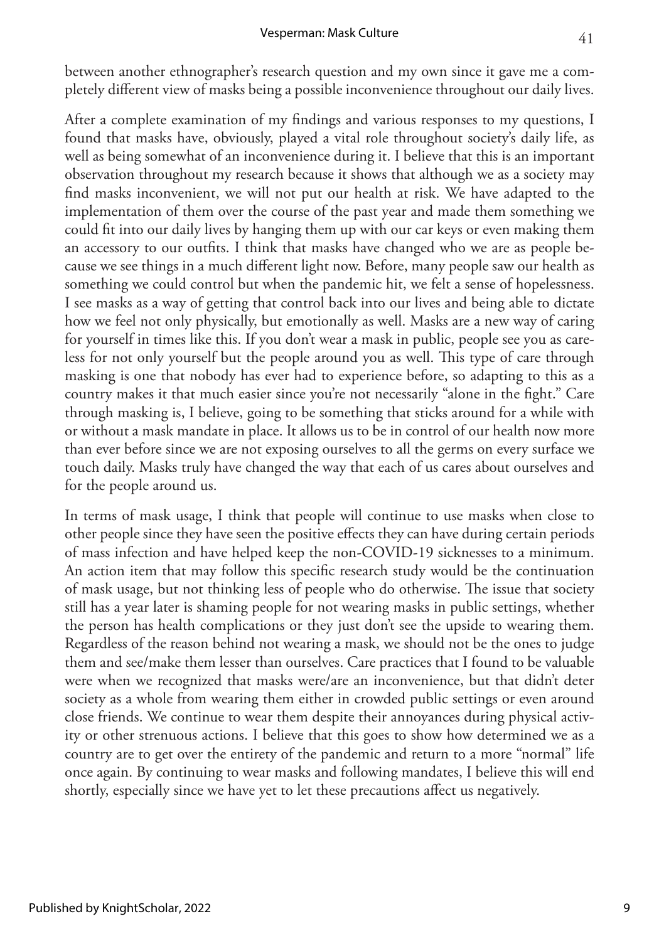between another ethnographer's research question and my own since it gave me a completely different view of masks being a possible inconvenience throughout our daily lives.

After a complete examination of my findings and various responses to my questions, I found that masks have, obviously, played a vital role throughout society's daily life, as well as being somewhat of an inconvenience during it. I believe that this is an important observation throughout my research because it shows that although we as a society may find masks inconvenient, we will not put our health at risk. We have adapted to the implementation of them over the course of the past year and made them something we could fit into our daily lives by hanging them up with our car keys or even making them an accessory to our outfits. I think that masks have changed who we are as people because we see things in a much different light now. Before, many people saw our health as something we could control but when the pandemic hit, we felt a sense of hopelessness. I see masks as a way of getting that control back into our lives and being able to dictate how we feel not only physically, but emotionally as well. Masks are a new way of caring for yourself in times like this. If you don't wear a mask in public, people see you as careless for not only yourself but the people around you as well. This type of care through masking is one that nobody has ever had to experience before, so adapting to this as a country makes it that much easier since you're not necessarily "alone in the fight." Care through masking is, I believe, going to be something that sticks around for a while with or without a mask mandate in place. It allows us to be in control of our health now more than ever before since we are not exposing ourselves to all the germs on every surface we touch daily. Masks truly have changed the way that each of us cares about ourselves and for the people around us.

In terms of mask usage, I think that people will continue to use masks when close to other people since they have seen the positive effects they can have during certain periods of mass infection and have helped keep the non-COVID-19 sicknesses to a minimum. An action item that may follow this specific research study would be the continuation of mask usage, but not thinking less of people who do otherwise. The issue that society still has a year later is shaming people for not wearing masks in public settings, whether the person has health complications or they just don't see the upside to wearing them. Regardless of the reason behind not wearing a mask, we should not be the ones to judge them and see/make them lesser than ourselves. Care practices that I found to be valuable were when we recognized that masks were/are an inconvenience, but that didn't deter society as a whole from wearing them either in crowded public settings or even around close friends. We continue to wear them despite their annoyances during physical activity or other strenuous actions. I believe that this goes to show how determined we as a country are to get over the entirety of the pandemic and return to a more "normal" life once again. By continuing to wear masks and following mandates, I believe this will end shortly, especially since we have yet to let these precautions affect us negatively.